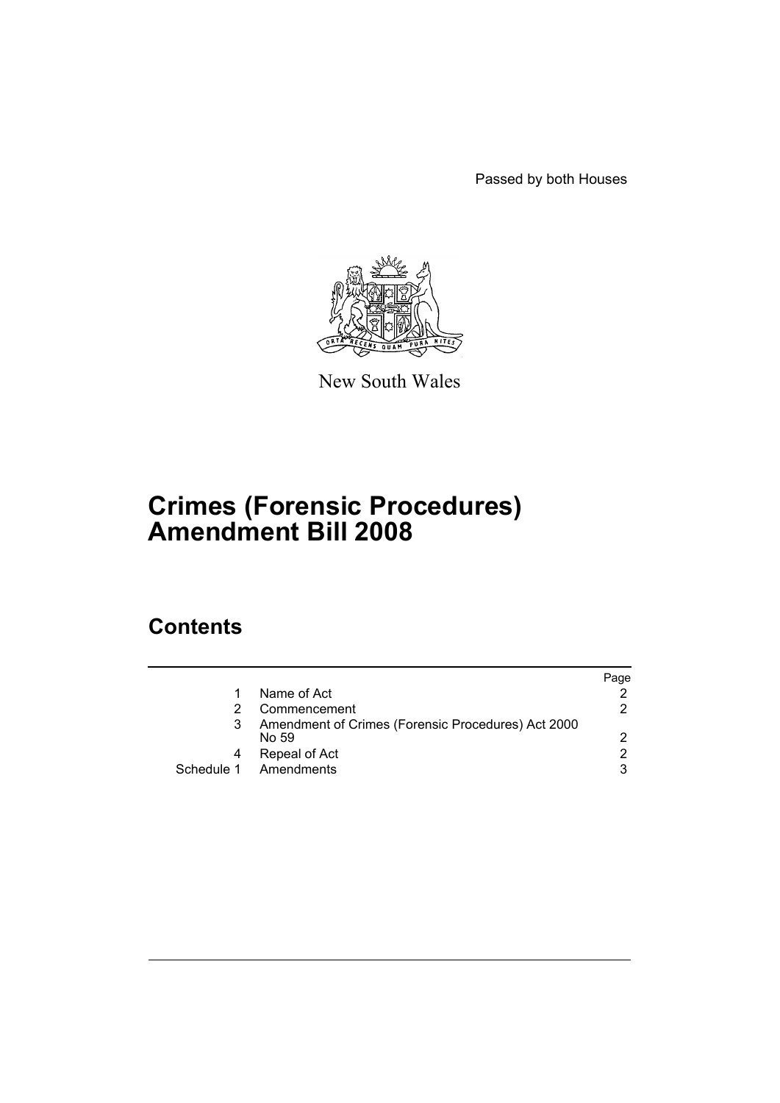Passed by both Houses



New South Wales

# **Crimes (Forensic Procedures) Amendment Bill 2008**

## **Contents**

|   |                                                             | Paqe |
|---|-------------------------------------------------------------|------|
|   | Name of Act                                                 |      |
|   | Commencement                                                | 2    |
| 3 | Amendment of Crimes (Forensic Procedures) Act 2000<br>No 59 | 2    |
|   | Repeal of Act                                               | 2    |
|   | Schedule 1 Amendments                                       | 3    |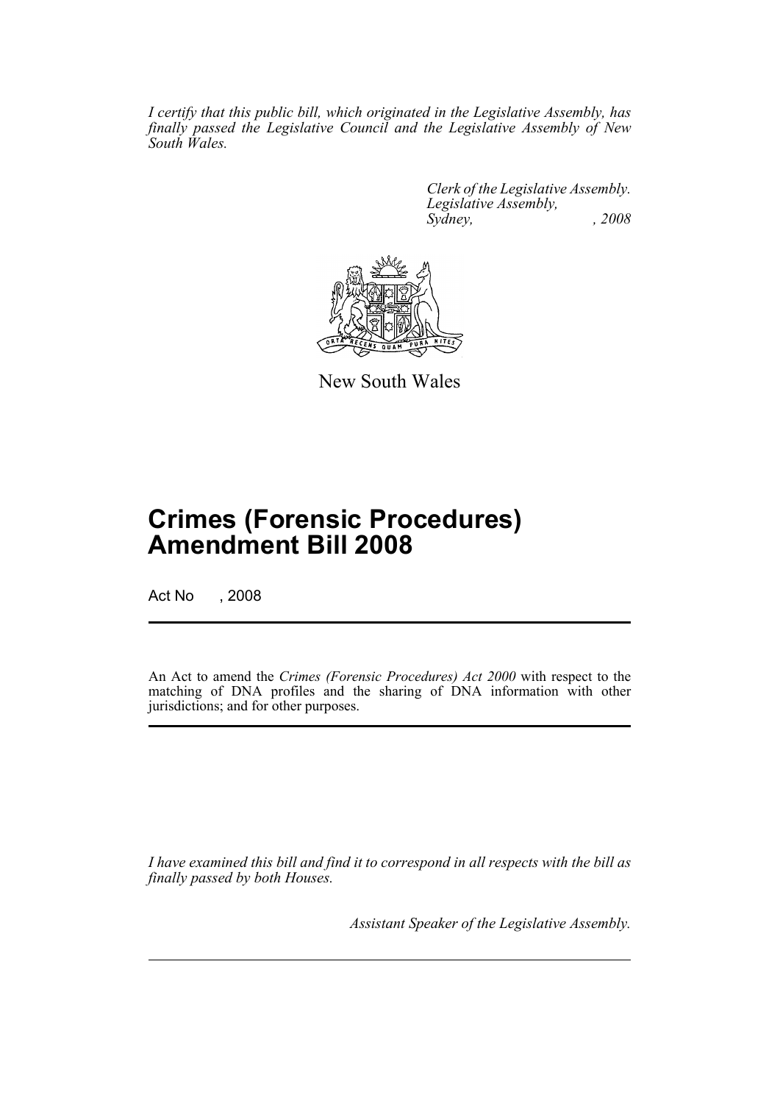*I certify that this public bill, which originated in the Legislative Assembly, has finally passed the Legislative Council and the Legislative Assembly of New South Wales.*

> *Clerk of the Legislative Assembly. Legislative Assembly, Sydney, , 2008*



New South Wales

# **Crimes (Forensic Procedures) Amendment Bill 2008**

Act No , 2008

An Act to amend the *Crimes (Forensic Procedures) Act 2000* with respect to the matching of DNA profiles and the sharing of DNA information with other jurisdictions; and for other purposes.

*I have examined this bill and find it to correspond in all respects with the bill as finally passed by both Houses.*

*Assistant Speaker of the Legislative Assembly.*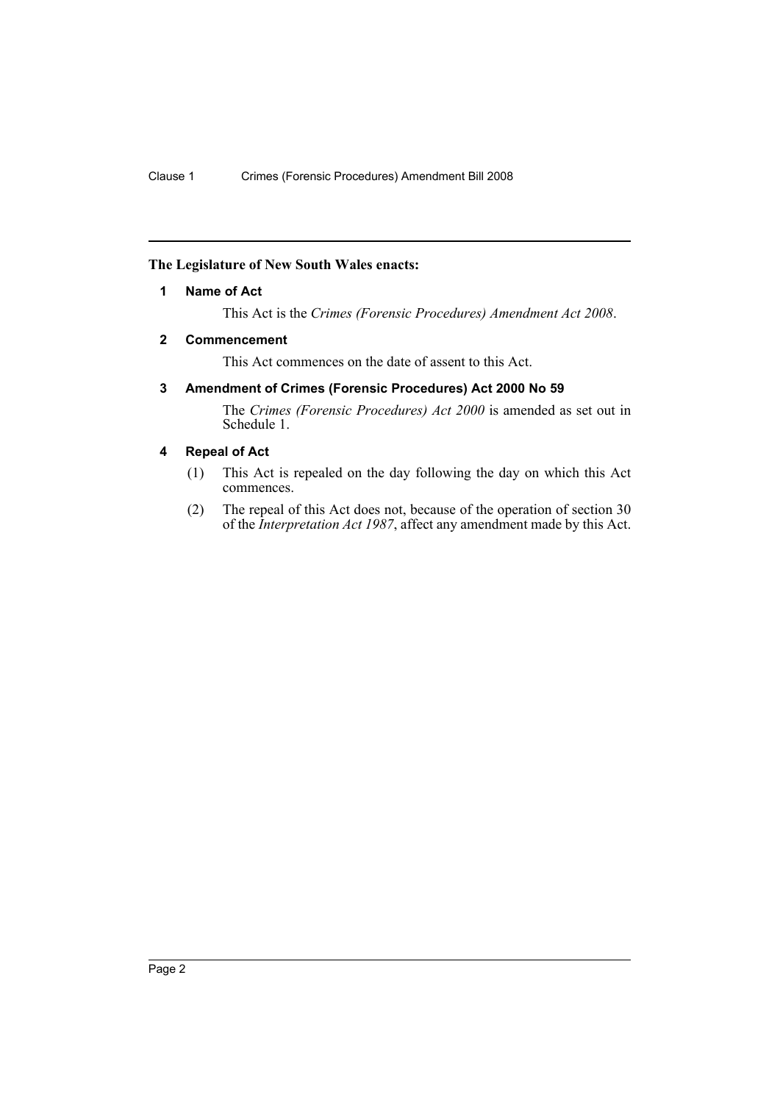## <span id="page-2-0"></span>**The Legislature of New South Wales enacts:**

## **1 Name of Act**

This Act is the *Crimes (Forensic Procedures) Amendment Act 2008*.

### <span id="page-2-1"></span>**2 Commencement**

This Act commences on the date of assent to this Act.

## <span id="page-2-2"></span>**3 Amendment of Crimes (Forensic Procedures) Act 2000 No 59**

The *Crimes (Forensic Procedures) Act 2000* is amended as set out in Schedule 1.

## <span id="page-2-3"></span>**4 Repeal of Act**

- (1) This Act is repealed on the day following the day on which this Act commences.
- (2) The repeal of this Act does not, because of the operation of section 30 of the *Interpretation Act 1987*, affect any amendment made by this Act.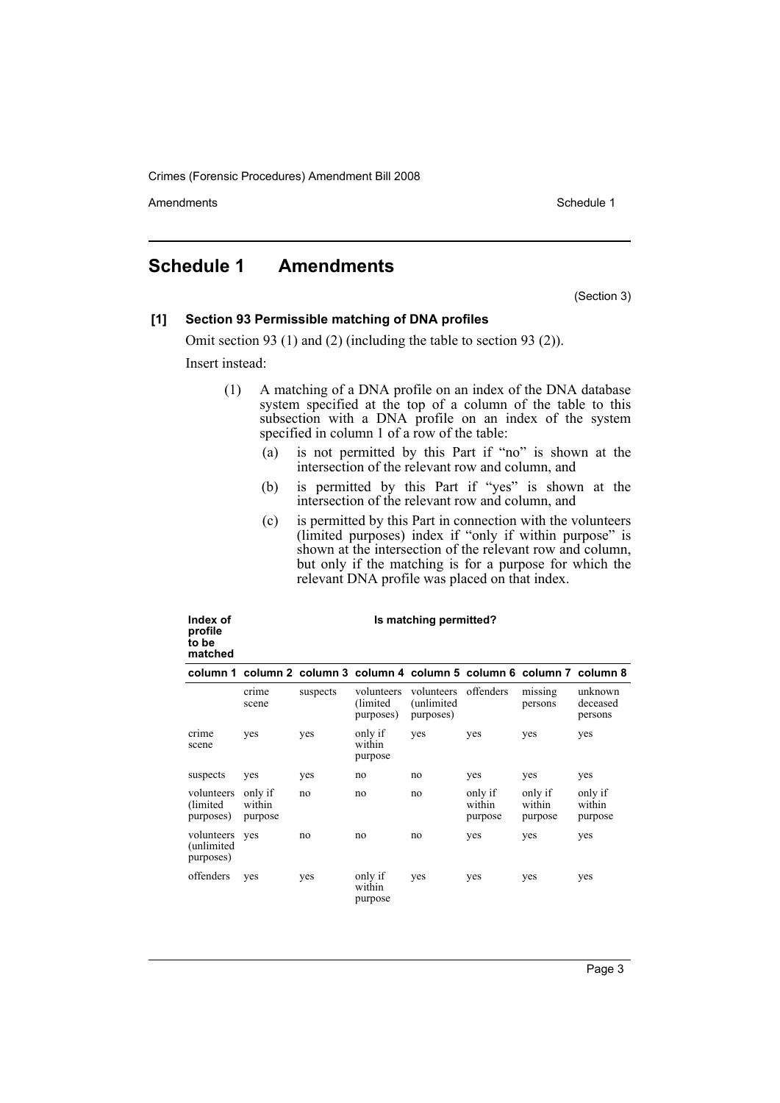Amendments **Schedule 1** and the set of the set of the set of the set of the set of the set of the set of the set of the set of the set of the set of the set of the set of the set of the set of the set of the set of the set

## <span id="page-3-0"></span>**Schedule 1 Amendments**

(Section 3)

#### **[1] Section 93 Permissible matching of DNA profiles**

Omit section 93 (1) and (2) (including the table to section 93 (2)).

Insert instead:

**Index of** 

- (1) A matching of a DNA profile on an index of the DNA database system specified at the top of a column of the table to this subsection with a DNA profile on an index of the system specified in column 1 of a row of the table:
	- (a) is not permitted by this Part if "no" is shown at the intersection of the relevant row and column, and
	- (b) is permitted by this Part if "yes" is shown at the intersection of the relevant row and column, and
	- (c) is permitted by this Part in connection with the volunteers (limited purposes) index if "only if within purpose" is shown at the intersection of the relevant row and column, but only if the matching is for a purpose for which the relevant DNA profile was placed on that index.

**Is matching permitted?**

| profile<br>to be<br>matched           |                              |                                                                         |                                     |                                        |                              |                              |                                |
|---------------------------------------|------------------------------|-------------------------------------------------------------------------|-------------------------------------|----------------------------------------|------------------------------|------------------------------|--------------------------------|
|                                       |                              | column 1 column 2 column 3 column 4 column 5 column 6 column 7 column 8 |                                     |                                        |                              |                              |                                |
|                                       | crime<br>scene               | suspects                                                                | volunteers<br>(limited<br>purposes) | volunteers<br>(unlimited)<br>purposes) | offenders                    | missing<br>persons           | unknown<br>deceased<br>persons |
| crime<br>scene                        | yes                          | yes                                                                     | only if<br>within<br>purpose        | yes                                    | yes                          | yes                          | yes                            |
| suspects                              | yes                          | yes                                                                     | no                                  | no                                     | yes                          | yes                          | yes                            |
| volunteers<br>(limited)<br>purposes)  | only if<br>within<br>purpose | no                                                                      | no                                  | no                                     | only if<br>within<br>purpose | only if<br>within<br>purpose | only if<br>within<br>purpose   |
| volunteers<br>(unlimited<br>purposes) | yes                          | no                                                                      | no                                  | no                                     | yes                          | yes                          | yes                            |
| offenders                             | yes                          | yes                                                                     | only if<br>within<br>purpose        | yes                                    | yes                          | yes                          | yes                            |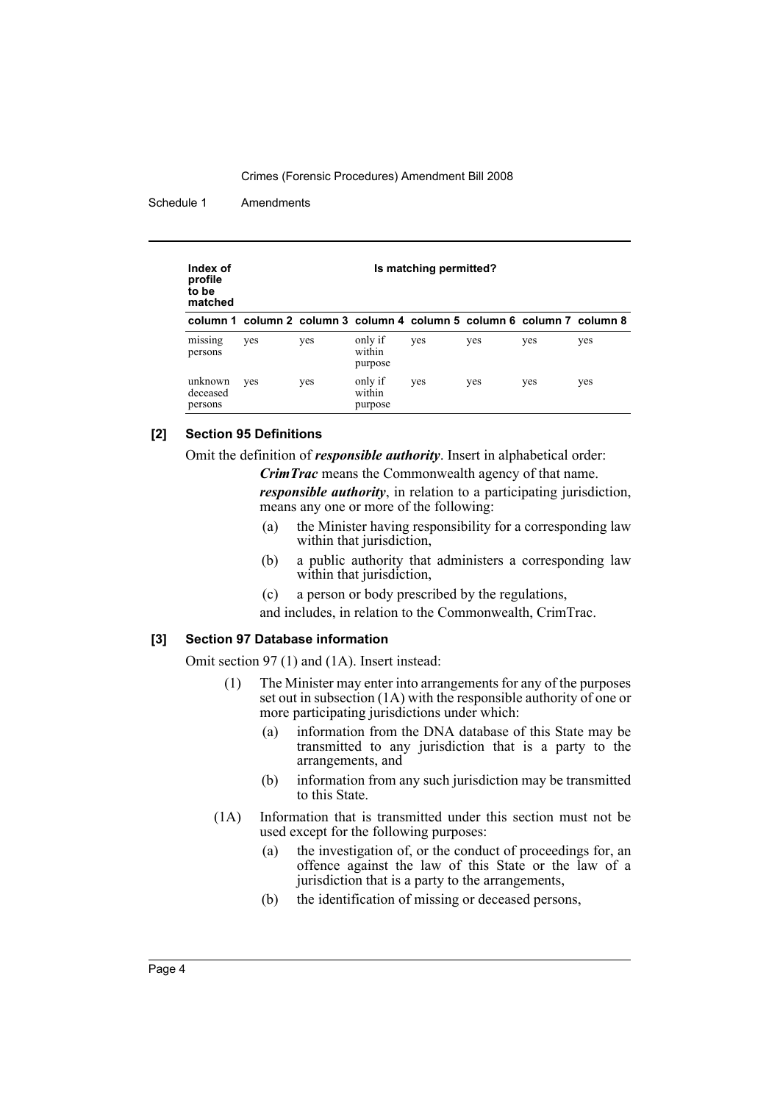Schedule 1 Amendments

| Index of<br>profile<br>to be<br>matched | Is matching permitted?                                                  |     |                              |     |     |     |     |  |
|-----------------------------------------|-------------------------------------------------------------------------|-----|------------------------------|-----|-----|-----|-----|--|
|                                         | column 1 column 2 column 3 column 4 column 5 column 6 column 7 column 8 |     |                              |     |     |     |     |  |
| missing<br>persons                      | yes                                                                     | yes | only if<br>within<br>purpose | yes | yes | yes | yes |  |
| unknown<br>deceased<br>persons          | yes                                                                     | yes | only if<br>within<br>purpose | yes | yes | yes | yes |  |

## **[2] Section 95 Definitions**

Omit the definition of *responsible authority*. Insert in alphabetical order:

*CrimTrac* means the Commonwealth agency of that name.

*responsible authority*, in relation to a participating jurisdiction, means any one or more of the following:

- (a) the Minister having responsibility for a corresponding law within that jurisdiction,
- (b) a public authority that administers a corresponding law within that jurisdiction,
- (c) a person or body prescribed by the regulations,

and includes, in relation to the Commonwealth, CrimTrac.

## **[3] Section 97 Database information**

Omit section 97 (1) and (1A). Insert instead:

- (1) The Minister may enter into arrangements for any of the purposes set out in subsection  $(1A)$  with the responsible authority of one or more participating jurisdictions under which:
	- (a) information from the DNA database of this State may be transmitted to any jurisdiction that is a party to the arrangements, and
	- (b) information from any such jurisdiction may be transmitted to this State.
- (1A) Information that is transmitted under this section must not be used except for the following purposes:
	- (a) the investigation of, or the conduct of proceedings for, an offence against the law of this State or the law of a jurisdiction that is a party to the arrangements,
	- (b) the identification of missing or deceased persons,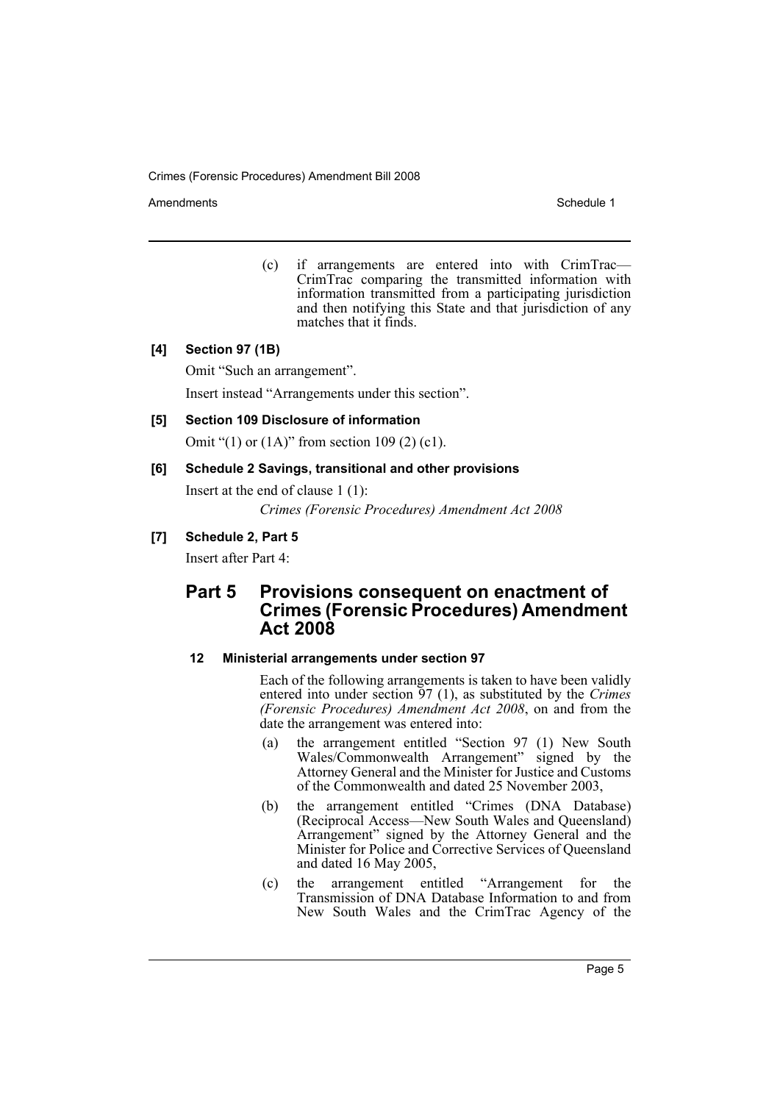Amendments **Amendments** Schedule 1

(c) if arrangements are entered into with CrimTrac— CrimTrac comparing the transmitted information with information transmitted from a participating jurisdiction and then notifying this State and that jurisdiction of any matches that it finds.

## **[4] Section 97 (1B)**

Omit "Such an arrangement".

Insert instead "Arrangements under this section".

### **[5] Section 109 Disclosure of information**

Omit "(1) or (1A)" from section 109 (2) (c1).

## **[6] Schedule 2 Savings, transitional and other provisions**

Insert at the end of clause 1 (1):

*Crimes (Forensic Procedures) Amendment Act 2008*

## **[7] Schedule 2, Part 5**

Insert after Part 4:

## **Part 5 Provisions consequent on enactment of Crimes (Forensic Procedures) Amendment Act 2008**

### **12 Ministerial arrangements under section 97**

Each of the following arrangements is taken to have been validly entered into under section 97 (1), as substituted by the *Crimes (Forensic Procedures) Amendment Act 2008*, on and from the date the arrangement was entered into:

- (a) the arrangement entitled "Section 97 (1) New South Wales/Commonwealth Arrangement" signed by the Attorney General and the Minister for Justice and Customs of the Commonwealth and dated 25 November 2003,
- (b) the arrangement entitled "Crimes (DNA Database) (Reciprocal Access—New South Wales and Queensland) Arrangement" signed by the Attorney General and the Minister for Police and Corrective Services of Queensland and dated 16 May 2005,
- (c) the arrangement entitled "Arrangement for the Transmission of DNA Database Information to and from New South Wales and the CrimTrac Agency of the